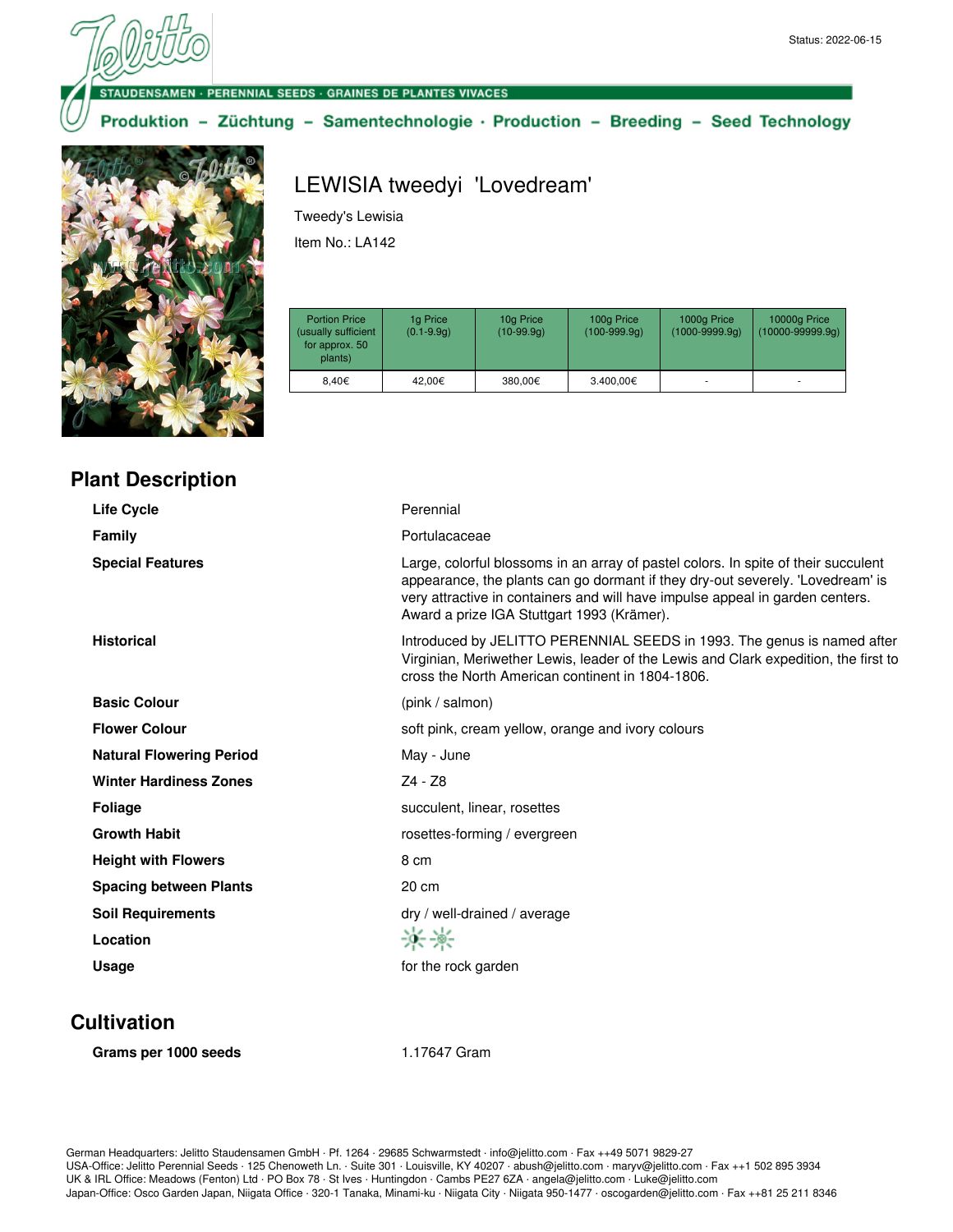#### **VSAMEN · PERENNIAL SEEDS · GRAINES DE PLANTES VIVACES**

Produktion - Züchtung - Samentechnologie · Production - Breeding - Seed Technology



**Plant Description**

# LEWISIA tweedyi 'Lovedream'

Tweedy's Lewisia

Item No.: LA142

| <b>Portion Price</b><br>(usually sufficient<br>for approx. 50<br>plants) | 1g Price<br>$(0.1 - 9.9q)$ | 10g Price<br>$(10-99.9q)$ | 100g Price<br>$(100-999.9q)$ | 1000g Price<br>$(1000 - 9999.9q)$ | 10000g Price<br>$(10000 - 99999.9q)$ |
|--------------------------------------------------------------------------|----------------------------|---------------------------|------------------------------|-----------------------------------|--------------------------------------|
| 8.40€                                                                    | 42.00€                     | 380.00€                   | 3.400,00€                    |                                   |                                      |

| <b>Life Cycle</b>               | Perennial                                                                                                                                                                                                                                                                                           |
|---------------------------------|-----------------------------------------------------------------------------------------------------------------------------------------------------------------------------------------------------------------------------------------------------------------------------------------------------|
| Family                          | Portulacaceae                                                                                                                                                                                                                                                                                       |
| <b>Special Features</b>         | Large, colorful blossoms in an array of pastel colors. In spite of their succulent<br>appearance, the plants can go dormant if they dry-out severely. 'Lovedream' is<br>very attractive in containers and will have impulse appeal in garden centers.<br>Award a prize IGA Stuttgart 1993 (Krämer). |
| <b>Historical</b>               | Introduced by JELITTO PERENNIAL SEEDS in 1993. The genus is named after<br>Virginian, Meriwether Lewis, leader of the Lewis and Clark expedition, the first to<br>cross the North American continent in 1804-1806.                                                                                  |
| <b>Basic Colour</b>             | (pink / salmon)                                                                                                                                                                                                                                                                                     |
| <b>Flower Colour</b>            | soft pink, cream yellow, orange and ivory colours                                                                                                                                                                                                                                                   |
| <b>Natural Flowering Period</b> | May - June                                                                                                                                                                                                                                                                                          |
| <b>Winter Hardiness Zones</b>   | Z4 - Z8                                                                                                                                                                                                                                                                                             |
| <b>Foliage</b>                  | succulent, linear, rosettes                                                                                                                                                                                                                                                                         |
| <b>Growth Habit</b>             | rosettes-forming / evergreen                                                                                                                                                                                                                                                                        |
| <b>Height with Flowers</b>      | 8 cm                                                                                                                                                                                                                                                                                                |
| <b>Spacing between Plants</b>   | 20 cm                                                                                                                                                                                                                                                                                               |
| <b>Soil Requirements</b>        | dry / well-drained / average                                                                                                                                                                                                                                                                        |
| Location                        | -64-84-                                                                                                                                                                                                                                                                                             |
| Usage                           | for the rock garden                                                                                                                                                                                                                                                                                 |
|                                 |                                                                                                                                                                                                                                                                                                     |

## **Cultivation**

**Grams per 1000 seeds** 1.17647 Gram